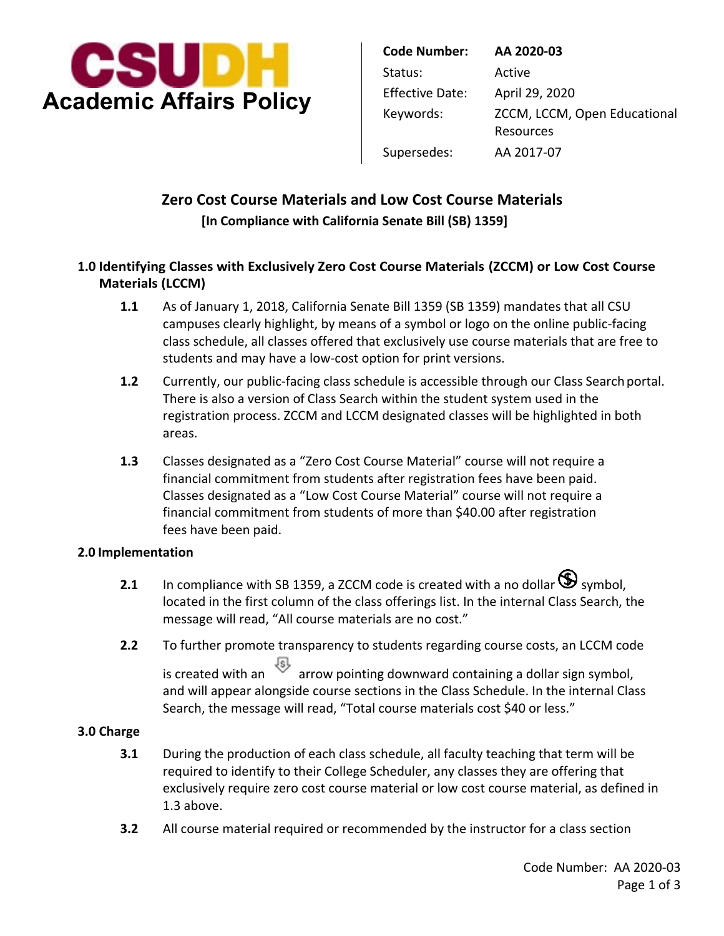

| <b>Code Number:</b>    | AA 2020-03                                |
|------------------------|-------------------------------------------|
| Status:                | Active                                    |
| <b>Effective Date:</b> | April 29, 2020                            |
| Keywords:              | ZCCM, LCCM, Open Educational<br>Resources |
| Supersedes:            | AA 2017-07                                |

# **Zero Cost Course Materials and Low Cost Course Materials [In Compliance with California Senate Bill (SB) 1359]**

## **1.0 Identifying Classes with Exclusively Zero Cost Course Materials (ZCCM) or Low Cost Course Materials (LCCM)**

- students and may have a low-cost option for print versions. **1.1** As of January 1, 2018, California Senate Bill 1359 (SB 1359) mandates that all CSU campuses clearly highlight, by means of a symbol or logo on the online public-facing class schedule, all classes offered that exclusively use course materials that are free to
- **1.2** Currently, our public-facing class schedule is accessible through our Class Search portal. There is also a version of Class Search within the student system used in the registration process. ZCCM and LCCM designated classes will be highlighted in both areas.
- financial commitment from students after registration fees have been paid. **1.3** Classes designated as a "Zero Cost Course Material" course will not require a Classes designated as a "Low Cost Course Material" course will not require a financial commitment from students of more than \$40.00 after registration fees have been paid.

#### **2.0 Implementation**

- **2.1** In compliance with SB 1359, a ZCCM code is created with a no dollar  $\mathbf{\mathcal{D}}$  symbol, message will read, "All course materials are no cost." located in the first column of the class offerings list. In the internal Class Search, the
- **2.2** To further promote transparency to students regarding course costs, an LCCM code is created with an  $\overline{\mathcal{B}}$  arrow pointing downward containing a dollar sign symbol, and will appear alongside course sections in the Class Schedule. In the internal Class Search, the message will read, "Total course materials cost \$40 or less."

#### **3.0 Charge**

- **3.1** During the production of each class schedule, all faculty teaching that term will be required to identify to their College Scheduler, any classes they are offering that exclusively require zero cost course material or low cost course material, as defined in 1.3 above.
- **3.2** All course material required or recommended by the instructor for a class section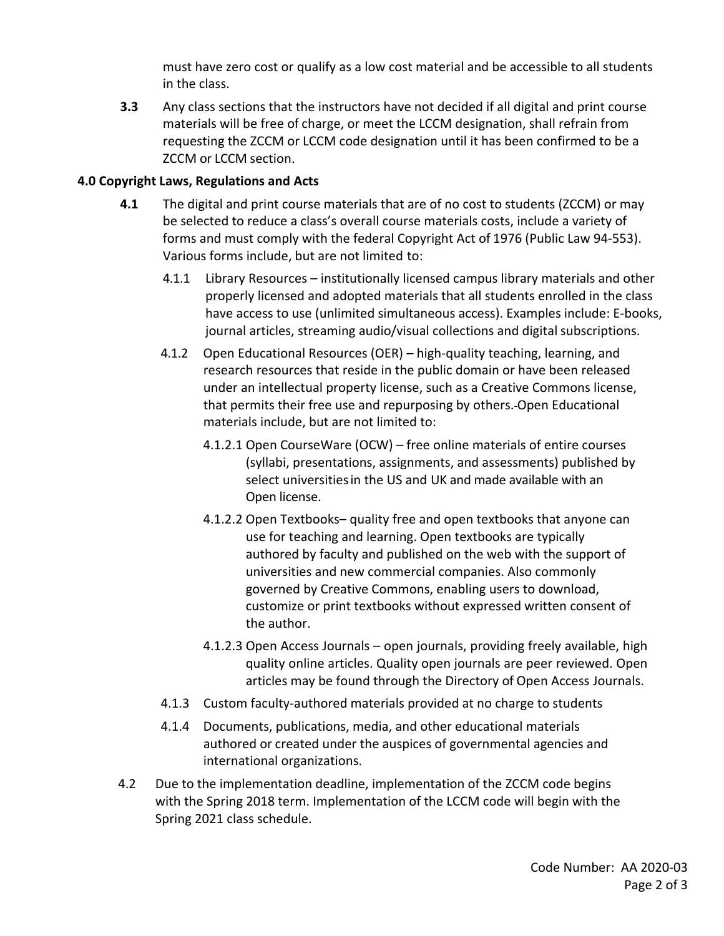must have zero cost or qualify as a low cost material and be accessible to all students in the class.

 ZCCM or LCCM section. **3.3** Any class sections that the instructors have not decided if all digital and print course materials will be free of charge, or meet the LCCM designation, shall refrain from requesting the ZCCM or LCCM code designation until it has been confirmed to be a

#### **4.0 Copyright Laws, Regulations and Acts**

- Various forms include, but are not limited to: **4.1** The digital and print course materials that are of no cost to students (ZCCM) or may be selected to reduce a class's overall course materials costs, include a variety of forms and must comply with the federal Copyright Act of 1976 (Public Law 94-553).
	- 4.1.1 Library Resources institutionally licensed campus library materials and other properly licensed and adopted materials that all students enrolled in the class have access to use (unlimited simultaneous access). Examples include: E-books, journal articles, streaming audio/visual collections and digital subscriptions.
	- that permits their free use and repurposing by others. Open Educational 4.1.2 Open Educational Resources (OER) – high-quality teaching, learning, and research resources that reside in the public domain or have been released under an intellectual property license, such as a Creative Commons license, materials include, but are not limited to:
		- select universitiesin the US and UK and made available with an 4.1.2.1 Open CourseWare (OCW) – free online materials of entire courses (syllabi, presentations, assignments, and assessments) published by Open license.
		- 4.1.2.2 Open Textbooks– quality free and open textbooks that anyone can use for teaching and learning. Open textbooks are typically authored by faculty and published on the web with the support of universities and new commercial companies. Also commonly governed by Creative Commons, enabling users to download, customize or print textbooks without expressed written consent of the author.
		- quality online articles. Quality open journals are peer reviewed. Open articles may be found through the Directory of Open Access Journals. 4.1.2.3 Open Access Journals – open journals, providing freely available, high
	- 4.1.3 Custom faculty-authored materials provided at no charge to students
	- 4.1.4 Documents, publications, media, and other educational materials authored or created under the auspices of governmental agencies and international organizations.
- 4.2 Due to the implementation deadline, implementation of the ZCCM code begins with the Spring 2018 term. Implementation of the LCCM code will begin with the Spring 2021 class schedule. Spring 2021 class schedule.<br>
Code Number: AA 2020-03